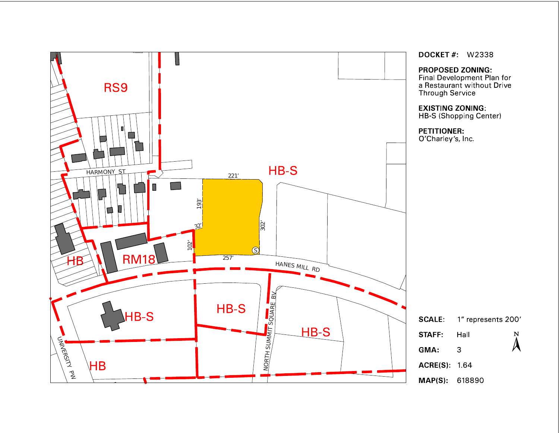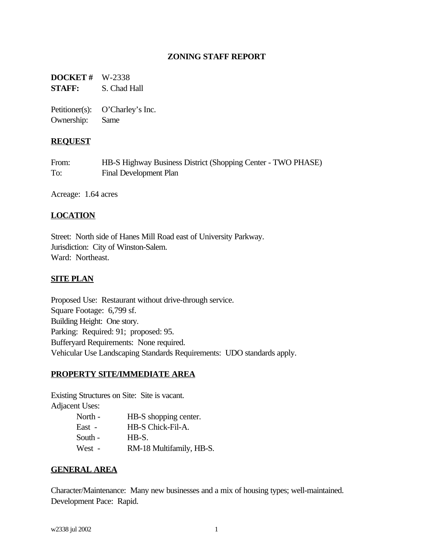## **ZONING STAFF REPORT**

**DOCKET #** W-2338 **STAFF:** S. Chad Hall

Petitioner(s): O'Charley's Inc. Ownership: Same

#### **REQUEST**

| From: | HB-S Highway Business District (Shopping Center - TWO PHASE) |
|-------|--------------------------------------------------------------|
| To:   | Final Development Plan                                       |

Acreage: 1.64 acres

### **LOCATION**

Street: North side of Hanes Mill Road east of University Parkway. Jurisdiction: City of Winston-Salem. Ward: Northeast.

#### **SITE PLAN**

Proposed Use: Restaurant without drive-through service. Square Footage: 6,799 sf. Building Height: One story. Parking: Required: 91; proposed: 95. Bufferyard Requirements: None required. Vehicular Use Landscaping Standards Requirements: UDO standards apply.

#### **PROPERTY SITE/IMMEDIATE AREA**

Existing Structures on Site: Site is vacant. Adjacent Uses:

| North - | HB-S shopping center.    |
|---------|--------------------------|
| East -  | HB-S Chick-Fil-A.        |
| South - | HB-S.                    |
| West -  | RM-18 Multifamily, HB-S. |

### **GENERAL AREA**

Character/Maintenance: Many new businesses and a mix of housing types; well-maintained. Development Pace: Rapid.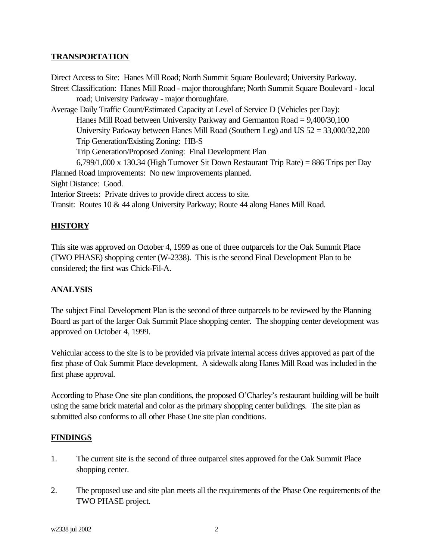### **TRANSPORTATION**

Direct Access to Site: Hanes Mill Road; North Summit Square Boulevard; University Parkway. Street Classification: Hanes Mill Road - major thoroughfare; North Summit Square Boulevard - local road; University Parkway - major thoroughfare. Average Daily Traffic Count/Estimated Capacity at Level of Service D (Vehicles per Day): Hanes Mill Road between University Parkway and Germanton Road = 9,400/30,100 University Parkway between Hanes Mill Road (Southern Leg) and US 52 = 33,000/32,200 Trip Generation/Existing Zoning: HB-S Trip Generation/Proposed Zoning: Final Development Plan 6,799/1,000 x 130.34 (High Turnover Sit Down Restaurant Trip Rate) = 886 Trips per Day Planned Road Improvements: No new improvements planned. Sight Distance: Good. Interior Streets: Private drives to provide direct access to site. Transit: Routes 10 & 44 along University Parkway; Route 44 along Hanes Mill Road.

# **HISTORY**

This site was approved on October 4, 1999 as one of three outparcels for the Oak Summit Place (TWO PHASE) shopping center (W-2338). This is the second Final Development Plan to be considered; the first was Chick-Fil-A.

### **ANALYSIS**

The subject Final Development Plan is the second of three outparcels to be reviewed by the Planning Board as part of the larger Oak Summit Place shopping center. The shopping center development was approved on October 4, 1999.

Vehicular access to the site is to be provided via private internal access drives approved as part of the first phase of Oak Summit Place development. A sidewalk along Hanes Mill Road was included in the first phase approval.

According to Phase One site plan conditions, the proposed O'Charley's restaurant building will be built using the same brick material and color as the primary shopping center buildings. The site plan as submitted also conforms to all other Phase One site plan conditions.

### **FINDINGS**

- 1. The current site is the second of three outparcel sites approved for the Oak Summit Place shopping center.
- 2. The proposed use and site plan meets all the requirements of the Phase One requirements of the TWO PHASE project.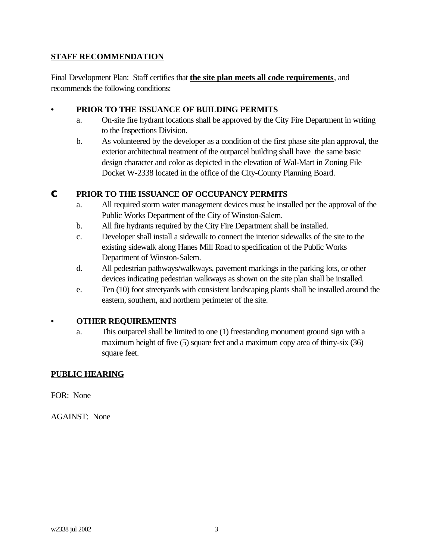# **STAFF RECOMMENDATION**

Final Development Plan: Staff certifies that **the site plan meets all code requirements**, and recommends the following conditions:

# **• PRIOR TO THE ISSUANCE OF BUILDING PERMITS**

- a. On-site fire hydrant locations shall be approved by the City Fire Department in writing to the Inspections Division.
- b. As volunteered by the developer as a condition of the first phase site plan approval, the exterior architectural treatment of the outparcel building shall have the same basic design character and color as depicted in the elevation of Wal-Mart in Zoning File Docket W-2338 located in the office of the City-County Planning Board.

# **C PRIOR TO THE ISSUANCE OF OCCUPANCY PERMITS**

- a. All required storm water management devices must be installed per the approval of the Public Works Department of the City of Winston-Salem.
- b. All fire hydrants required by the City Fire Department shall be installed.
- c. Developer shall install a sidewalk to connect the interior sidewalks of the site to the existing sidewalk along Hanes Mill Road to specification of the Public Works Department of Winston-Salem.
- d. All pedestrian pathways/walkways, pavement markings in the parking lots, or other devices indicating pedestrian walkways as shown on the site plan shall be installed.
- e. Ten (10) foot streetyards with consistent landscaping plants shall be installed around the eastern, southern, and northern perimeter of the site.

### **• OTHER REQUIREMENTS**

a. This outparcel shall be limited to one (1) freestanding monument ground sign with a maximum height of five (5) square feet and a maximum copy area of thirty-six (36) square feet.

# **PUBLIC HEARING**

FOR: None

AGAINST: None